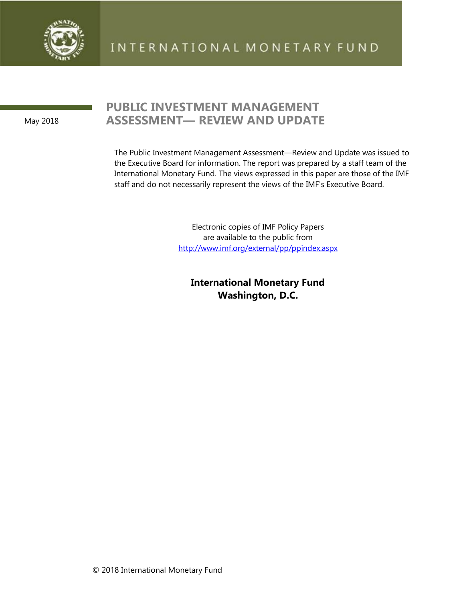

May 2018

# **PUBLIC INVESTMENT MANAGEMENT ASSESSMENT— REVIEW AND UPDATE**

The Public Investment Management Assessment—Review and Update was issued to the Executive Board for information. The report was prepared by a staff team of the International Monetary Fund. The views expressed in this paper are those of the IMF staff and do not necessarily represent the views of the IMF's Executive Board.

> Electronic copies of IMF Policy Papers are available to the public from <http://www.imf.org/external/pp/ppindex.aspx>

**International Monetary Fund Washington, D.C.**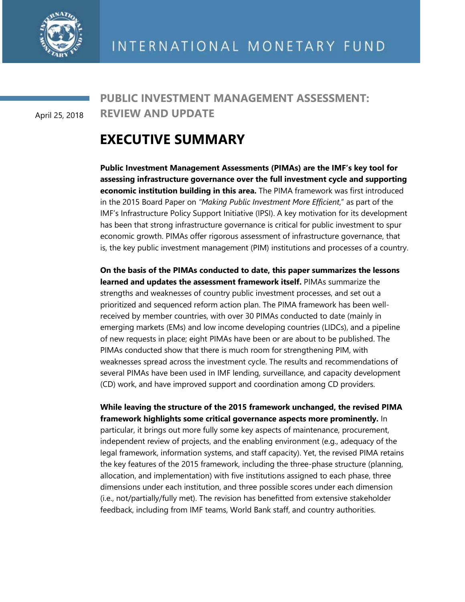

April 25, 2018

**PUBLIC INVESTMENT MANAGEMENT ASSESSMENT: REVIEW AND UPDATE**

# **EXECUTIVE SUMMARY**

**Public Investment Management Assessments (PIMAs) are the IMF's key tool for assessing infrastructure governance over the full investment cycle and supporting economic institution building in this area.** The PIMA framework was first introduced in the 2015 Board Paper on *"Making Public Investment More Efficient*," as part of the IMF's Infrastructure Policy Support Initiative (IPSI). A key motivation for its development has been that strong infrastructure governance is critical for public investment to spur economic growth. PIMAs offer rigorous assessment of infrastructure governance, that is, the key public investment management (PIM) institutions and processes of a country.

**On the basis of the PIMAs conducted to date, this paper summarizes the lessons learned and updates the assessment framework itself.** PIMAs summarize the strengths and weaknesses of country public investment processes, and set out a prioritized and sequenced reform action plan. The PIMA framework has been wellreceived by member countries, with over 30 PIMAs conducted to date (mainly in emerging markets (EMs) and low income developing countries (LIDCs), and a pipeline of new requests in place; eight PIMAs have been or are about to be published. The PIMAs conducted show that there is much room for strengthening PIM, with weaknesses spread across the investment cycle. The results and recommendations of several PIMAs have been used in IMF lending, surveillance, and capacity development (CD) work, and have improved support and coordination among CD providers.

**While leaving the structure of the 2015 framework unchanged, the revised PIMA framework highlights some critical governance aspects more prominently.** In particular, it brings out more fully some key aspects of maintenance, procurement, independent review of projects, and the enabling environment (e.g., adequacy of the legal framework, information systems, and staff capacity). Yet, the revised PIMA retains the key features of the 2015 framework, including the three-phase structure (planning, allocation, and implementation) with five institutions assigned to each phase, three dimensions under each institution, and three possible scores under each dimension (i.e., not/partially/fully met). The revision has benefitted from extensive stakeholder feedback, including from IMF teams, World Bank staff, and country authorities.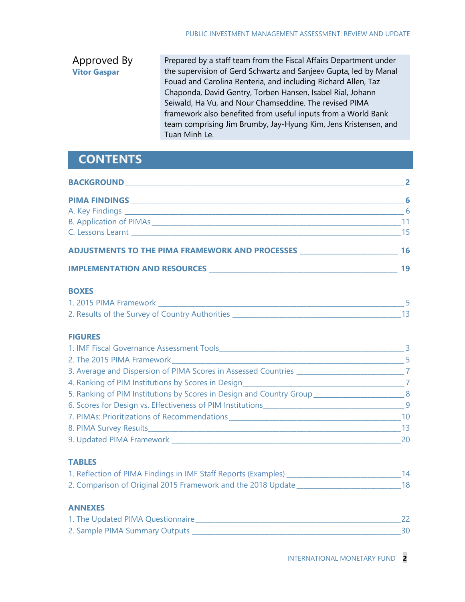#### Approved By **Vitor Gaspar** Prepared by a staff team from the Fiscal Affairs Department under the supervision of Gerd Schwartz and Sanjeev Gupta, led by Manal Fouad and Carolina Renteria, and including Richard Allen, Taz Chaponda, David Gentry, Torben Hansen, Isabel Rial, Johann Seiwald, Ha Vu, and Nour Chamseddine. The revised PIMA framework also benefited from useful inputs from a World Bank team comprising Jim Brumby, Jay-Hyung Kim, Jens Kristensen, and Tuan Minh Le.

# **CONTENTS**

| <b>BOXES</b>                                                                                     |  |
|--------------------------------------------------------------------------------------------------|--|
|                                                                                                  |  |
|                                                                                                  |  |
| <b>FIGURES</b>                                                                                   |  |
|                                                                                                  |  |
|                                                                                                  |  |
| 3. Average and Dispersion of PIMA Scores in Assessed Countries _____________________________7    |  |
|                                                                                                  |  |
| 5. Ranking of PIM Institutions by Scores in Design and Country Group___________________________8 |  |
|                                                                                                  |  |
|                                                                                                  |  |
|                                                                                                  |  |
|                                                                                                  |  |

# **TABLES**

| 1. Reflection of PIMA Findings in IMF Staff Reports (Examples) |  |
|----------------------------------------------------------------|--|
| 2. Comparison of Original 2015 Framework and the 2018 Update   |  |

## **ANNEXES**

| 1. The Updated PIMA Questionnaire |  |
|-----------------------------------|--|
| 2. Sample PIMA Summary Outputs    |  |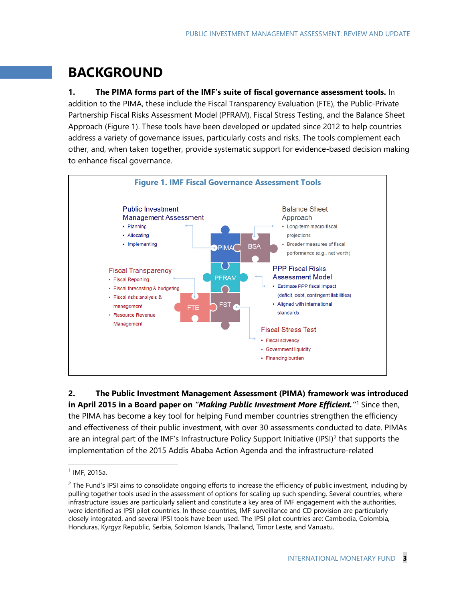# **BACKGROUND**

**1. The PIMA forms part of the IMF's suite of fiscal governance assessment tools.** In addition to the PIMA, these include the Fiscal Transparency Evaluation (FTE), the Public-Private Partnership Fiscal Risks Assessment Model (PFRAM), Fiscal Stress Testing, and the Balance Sheet Approach (Figure 1). These tools have been developed or updated since 2012 to help countries address a variety of governance issues, particularly costs and risks. The tools complement each other, and, when taken together, provide systematic support for evidence-based decision making to enhance fiscal governance.



**2. The Public Investment Management Assessment (PIMA) framework was introduced in April 2015 in a Board paper on** *"Making Public Investment More Efficient."*[1](#page-3-0) Since then, the PIMA has become a key tool for helping Fund member countries strengthen the efficiency and effectiveness of their public investment, with over 30 assessments conducted to date. PIMAs are an integral part of the IMF's Infrastructure Policy Support Initiative (IPSI)<sup>[2](#page-3-1)</sup> that supports the implementation of the 2015 Addis Ababa Action Agenda and the infrastructure-related

<span id="page-3-0"></span> $1$  IMF, 2015a.

<span id="page-3-1"></span> $<sup>2</sup>$  The Fund's IPSI aims to consolidate ongoing efforts to increase the efficiency of public investment, including by</sup> pulling together tools used in the assessment of options for scaling up such spending. Several countries, where infrastructure issues are particularly salient and constitute a key area of IMF engagement with the authorities, were identified as IPSI pilot countries. In these countries, IMF surveillance and CD provision are particularly closely integrated, and several IPSI tools have been used. The IPSI pilot countries are: Cambodia, Colombia, Honduras, Kyrgyz Republic, Serbia, Solomon Islands, Thailand, Timor Leste, and Vanuatu.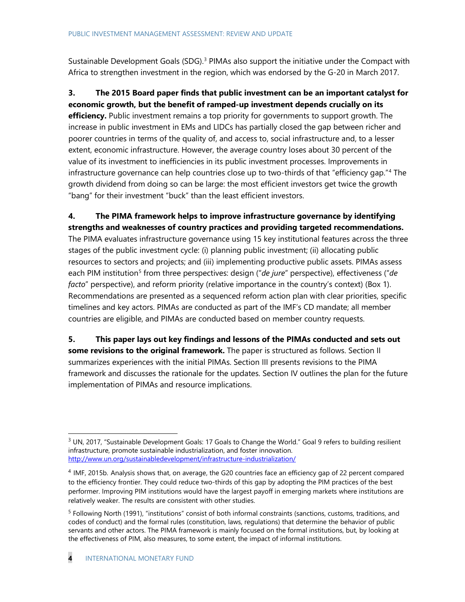Sustainable Development Goals (SDG).<sup>[3](#page-4-0)</sup> PIMAs also support the initiative under the Compact with Africa to strengthen investment in the region, which was endorsed by the G-20 in March 2017.

**3. The 2015 Board paper finds that public investment can be an important catalyst for economic growth, but the benefit of ramped-up investment depends crucially on its efficiency.** Public investment remains a top priority for governments to support growth. The increase in public investment in EMs and LIDCs has partially closed the gap between richer and poorer countries in terms of the quality of, and access to, social infrastructure and, to a lesser extent, economic infrastructure. However, the average country loses about 30 percent of the value of its investment to inefficiencies in its public investment processes. Improvements in infrastructure governance can help countries close up to two-thirds of that "efficiency gap."[4](#page-4-1) The growth dividend from doing so can be large: the most efficient investors get twice the growth "bang" for their investment "buck" than the least efficient investors.

# **4. The PIMA framework helps to improve infrastructure governance by identifying strengths and weaknesses of country practices and providing targeted recommendations.**

The PIMA evaluates infrastructure governance using 15 key institutional features across the three stages of the public investment cycle: (i) planning public investment; (ii) allocating public resources to sectors and projects; and (iii) implementing productive public assets. PIMAs assess each PIM institution<sup>[5](#page-4-2)</sup> from three perspectives: design ("*de jure*" perspective), effectiveness ("*de facto*" perspective), and reform priority (relative importance in the country's context) (Box 1). Recommendations are presented as a sequenced reform action plan with clear priorities, specific timelines and key actors. PIMAs are conducted as part of the IMF's CD mandate; all member countries are eligible, and PIMAs are conducted based on member country requests.

**5. This paper lays out key findings and lessons of the PIMAs conducted and sets out some revisions to the original framework.** The paper is structured as follows. Section II summarizes experiences with the initial PIMAs. Section III presents revisions to the PIMA framework and discusses the rationale for the updates. Section IV outlines the plan for the future implementation of PIMAs and resource implications.

<span id="page-4-0"></span> $3$  UN, 2017, "Sustainable Development Goals: 17 Goals to Change the World." Goal 9 refers to building resilient infrastructure, promote sustainable industrialization, and foster innovation. <http://www.un.org/sustainabledevelopment/infrastructure-industrialization/>

<span id="page-4-1"></span><sup>4</sup> IMF, 2015b. Analysis shows that, on average, the G20 countries face an efficiency gap of 22 percent compared to the efficiency frontier. They could reduce two-thirds of this gap by adopting the PIM practices of the best performer. Improving PIM institutions would have the largest payoff in emerging markets where institutions are relatively weaker. The results are consistent with other studies.

<span id="page-4-2"></span><sup>&</sup>lt;sup>5</sup> Following North (1991), "institutions" consist of both informal constraints (sanctions, customs, traditions, and codes of conduct) and the formal rules (constitution, laws, regulations) that determine the behavior of public servants and other actors. The PIMA framework is mainly focused on the formal institutions, but, by looking at the effectiveness of PIM, also measures, to some extent, the impact of informal institutions.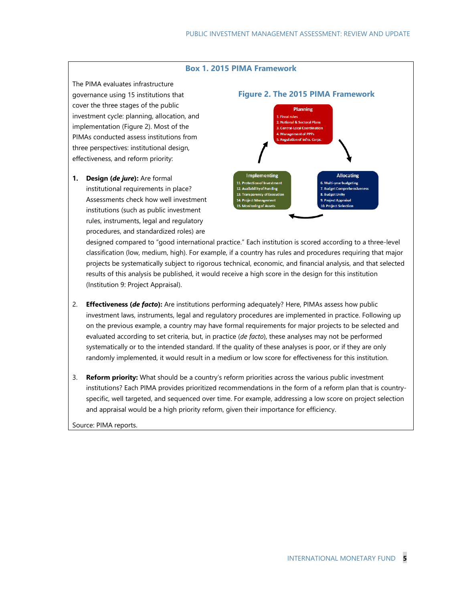#### **Box 1. 2015 PIMA Framework**

The PIMA evaluates infrastructure governance using 15 institutions that cover the three stages of the public investment cycle: planning, allocation, and implementation (Figure 2). Most of the PIMAs conducted assess institutions from three perspectives: institutional design, effectiveness, and reform priority:

**1. Design (***de jure***):** Are formal institutional requirements in place? Assessments check how well investment institutions (such as public investment rules, instruments, legal and regulatory procedures, and standardized roles) are



designed compared to "good international practice." Each institution is scored according to a three-level classification (low, medium, high). For example, if a country has rules and procedures requiring that major projects be systematically subject to rigorous technical, economic, and financial analysis, and that selected results of this analysis be published, it would receive a high score in the design for this institution (Institution 9: Project Appraisal).

- 2. **Effectiveness (***de facto***):** Are institutions performing adequately? Here, PIMAs assess how public investment laws, instruments, legal and regulatory procedures are implemented in practice. Following up on the previous example, a country may have formal requirements for major projects to be selected and evaluated according to set criteria, but, in practice (*de facto*), these analyses may not be performed systematically or to the intended standard. If the quality of these analyses is poor, or if they are only randomly implemented, it would result in a medium or low score for effectiveness for this institution.
- 3. **Reform priority:** What should be a country's reform priorities across the various public investment institutions? Each PIMA provides prioritized recommendations in the form of a reform plan that is countryspecific, well targeted, and sequenced over time. For example, addressing a low score on project selection and appraisal would be a high priority reform, given their importance for efficiency.

Source: PIMA reports.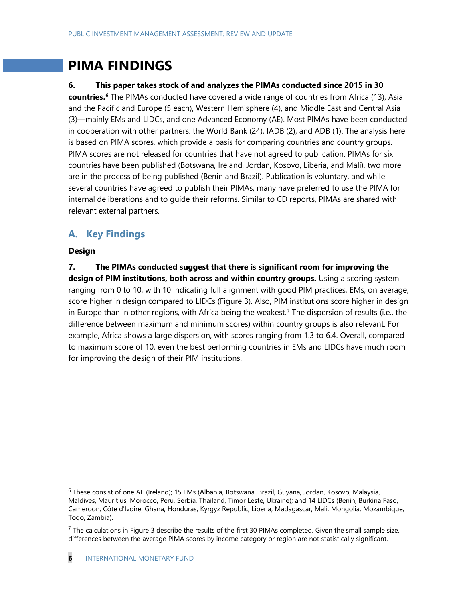# **PIMA FINDINGS**

### **6. This paper takes stock of and analyzes the PIMAs conducted since 2015 in 30**

**countries. [6](#page-6-0)** The PIMAs conducted have covered a wide range of countries from Africa (13), Asia and the Pacific and Europe (5 each), Western Hemisphere (4), and Middle East and Central Asia (3)—mainly EMs and LIDCs, and one Advanced Economy (AE). Most PIMAs have been conducted in cooperation with other partners: the World Bank (24), IADB (2), and ADB (1). The analysis here is based on PIMA scores, which provide a basis for comparing countries and country groups. PIMA scores are not released for countries that have not agreed to publication. PIMAs for six countries have been published (Botswana, Ireland, Jordan, Kosovo, Liberia, and Mali), two more are in the process of being published (Benin and Brazil). Publication is voluntary, and while several countries have agreed to publish their PIMAs, many have preferred to use the PIMA for internal deliberations and to guide their reforms. Similar to CD reports, PIMAs are shared with relevant external partners.

# **A. Key Findings**

### **Design**

**7. The PIMAs conducted suggest that there is significant room for improving the design of PIM institutions, both across and within country groups.** Using a scoring system ranging from 0 to 10, with 10 indicating full alignment with good PIM practices, EMs, on average, score higher in design compared to LIDCs (Figure 3). Also, PIM institutions score higher in design in Europe than in other regions, with Africa being the weakest. [7](#page-6-1) The dispersion of results (i.e., the difference between maximum and minimum scores) within country groups is also relevant. For example, Africa shows a large dispersion, with scores ranging from 1.3 to 6.4. Overall, compared to maximum score of 10, even the best performing countries in EMs and LIDCs have much room for improving the design of their PIM institutions.

<span id="page-6-0"></span> <sup>6</sup> These consist of one AE (Ireland); 15 EMs (Albania, Botswana, Brazil, Guyana, Jordan, Kosovo, Malaysia, Maldives, Mauritius, Morocco, Peru, Serbia, Thailand, Timor Leste, Ukraine); and 14 LIDCs (Benin, Burkina Faso, Cameroon, Côte d'Ivoire, Ghana, Honduras, Kyrgyz Republic, Liberia, Madagascar, Mali, Mongolia, Mozambique, Togo, Zambia).

<span id="page-6-1"></span> $<sup>7</sup>$  The calculations in Figure 3 describe the results of the first 30 PIMAs completed. Given the small sample size,</sup> differences between the average PIMA scores by income category or region are not statistically significant.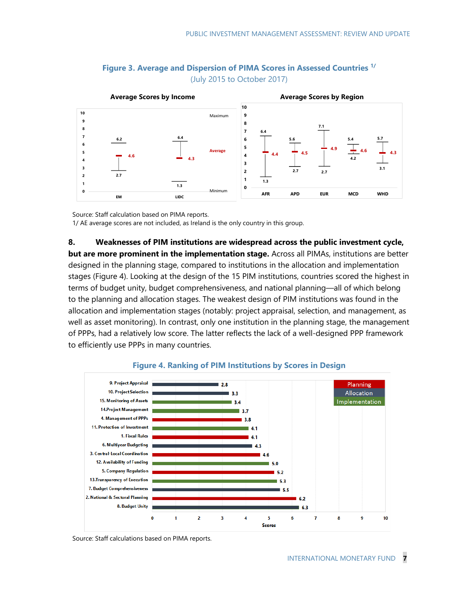

## **Figure 3. Average and Dispersion of PIMA Scores in Assessed Countries 1/** (July 2015 to October 2017)

Source: Staff calculation based on PIMA reports.

1/ AE average scores are not included, as Ireland is the only country in this group.

**8. Weaknesses of PIM institutions are widespread across the public investment cycle, but are more prominent in the implementation stage.** Across all PIMAs, institutions are better designed in the planning stage, compared to institutions in the allocation and implementation stages (Figure 4). Looking at the design of the 15 PIM institutions, countries scored the highest in terms of budget unity, budget comprehensiveness, and national planning—all of which belong to the planning and allocation stages. The weakest design of PIM institutions was found in the allocation and implementation stages (notably: project appraisal, selection, and management, as well as asset monitoring). In contrast, only one institution in the planning stage, the management of PPPs, had a relatively low score. The latter reflects the lack of a well-designed PPP framework to efficiently use PPPs in many countries.



#### **Figure 4. Ranking of PIM Institutions by Scores in Design**

Source: Staff calculations based on PIMA reports.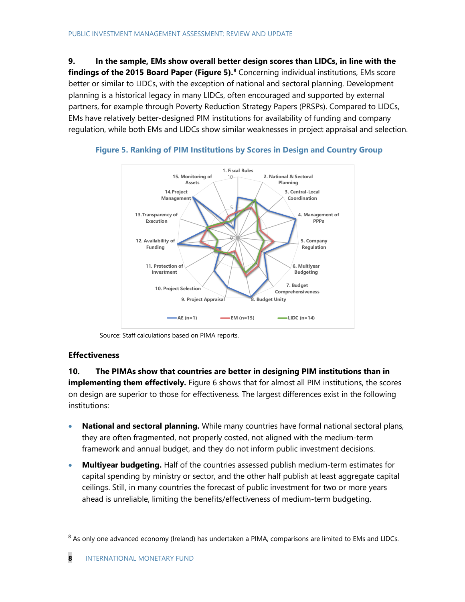**9. In the sample, EMs show overall better design scores than LIDCs, in line with the findings of the 2015 Board Paper (Figure 5).[8](#page-8-0)** Concerning individual institutions, EMs score better or similar to LIDCs, with the exception of national and sectoral planning. Development planning is a historical legacy in many LIDCs, often encouraged and supported by external partners, for example through Poverty Reduction Strategy Papers (PRSPs). Compared to LIDCs, EMs have relatively better-designed PIM institutions for availability of funding and company regulation, while both EMs and LIDCs show similar weaknesses in project appraisal and selection.





Source: Staff calculations based on PIMA reports.

## **Effectiveness**

**10. The PIMAs show that countries are better in designing PIM institutions than in implementing them effectively.** Figure 6 shows that for almost all PIM institutions, the scores on design are superior to those for effectiveness. The largest differences exist in the following institutions:

- **National and sectoral planning.** While many countries have formal national sectoral plans, they are often fragmented, not properly costed, not aligned with the medium-term framework and annual budget, and they do not inform public investment decisions.
- **Multiyear budgeting.** Half of the countries assessed publish medium-term estimates for capital spending by ministry or sector, and the other half publish at least aggregate capital ceilings. Still, in many countries the forecast of public investment for two or more years ahead is unreliable, limiting the benefits/effectiveness of medium-term budgeting.

<span id="page-8-0"></span><sup>&</sup>lt;sup>8</sup> As only one advanced economy (Ireland) has undertaken a PIMA, comparisons are limited to EMs and LIDCs.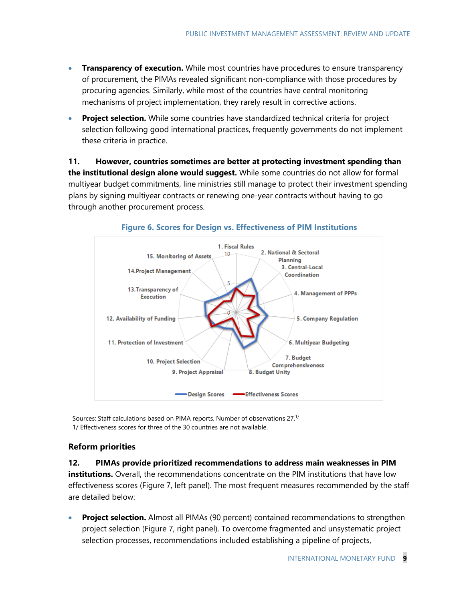- **Transparency of execution.** While most countries have procedures to ensure transparency of procurement, the PIMAs revealed significant non-compliance with those procedures by procuring agencies. Similarly, while most of the countries have central monitoring mechanisms of project implementation, they rarely result in corrective actions.
- **Project selection.** While some countries have standardized technical criteria for project selection following good international practices, frequently governments do not implement these criteria in practice.

**11. However, countries sometimes are better at protecting investment spending than the institutional design alone would suggest.** While some countries do not allow for formal multiyear budget commitments, line ministries still manage to protect their investment spending plans by signing multiyear contracts or renewing one-year contracts without having to go through another procurement process.



#### **Figure 6. Scores for Design vs. Effectiveness of PIM Institutions**

Sources: Staff calculations based on PIMA reports. Number of observations 27.1/ 1/ Effectiveness scores for three of the 30 countries are not available.

### **Reform priorities**

# **12. PIMAs provide prioritized recommendations to address main weaknesses in PIM institutions.** Overall, the recommendations concentrate on the PIM institutions that have low effectiveness scores (Figure 7, left panel). The most frequent measures recommended by the staff are detailed below:

• **Project selection.** Almost all PIMAs (90 percent) contained recommendations to strengthen project selection (Figure 7, right panel). To overcome fragmented and unsystematic project selection processes, recommendations included establishing a pipeline of projects,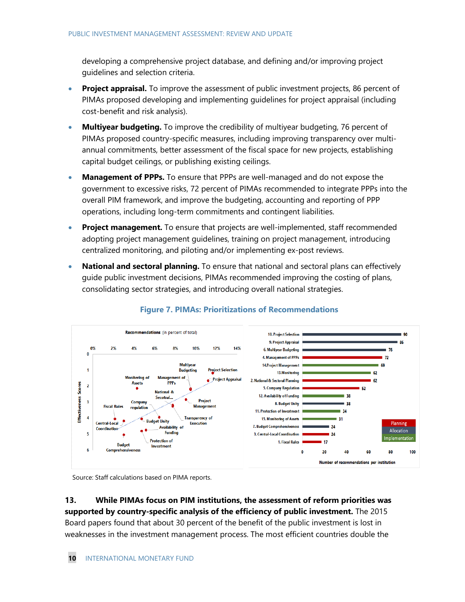developing a comprehensive project database, and defining and/or improving project guidelines and selection criteria.

- **Project appraisal.** To improve the assessment of public investment projects, 86 percent of PIMAs proposed developing and implementing guidelines for project appraisal (including cost-benefit and risk analysis).
- **Multiyear budgeting.** To improve the credibility of multiyear budgeting, 76 percent of PIMAs proposed country-specific measures, including improving transparency over multiannual commitments, better assessment of the fiscal space for new projects, establishing capital budget ceilings, or publishing existing ceilings.
- **Management of PPPs.** To ensure that PPPs are well-managed and do not expose the government to excessive risks, 72 percent of PIMAs recommended to integrate PPPs into the overall PIM framework, and improve the budgeting, accounting and reporting of PPP operations, including long-term commitments and contingent liabilities.
- **Project management.** To ensure that projects are well-implemented, staff recommended adopting project management guidelines, training on project management, introducing centralized monitoring, and piloting and/or implementing ex-post reviews.
- **National and sectoral planning.** To ensure that national and sectoral plans can effectively guide public investment decisions, PIMAs recommended improving the costing of plans, consolidating sector strategies, and introducing overall national strategies.



## **Figure 7. PIMAs: Prioritizations of Recommendations**

Source: Staff calculations based on PIMA reports.

**13. While PIMAs focus on PIM institutions, the assessment of reform priorities was supported by country-specific analysis of the efficiency of public investment.** The 2015 Board papers found that about 30 percent of the benefit of the public investment is lost in weaknesses in the investment management process. The most efficient countries double the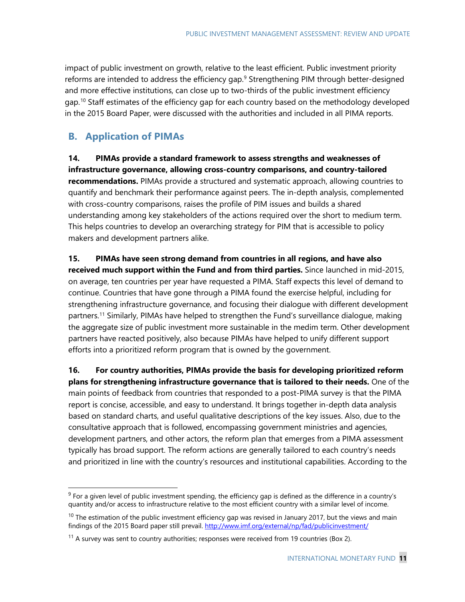impact of public investment on growth, relative to the least efficient. Public investment priority reforms are intended to address the efficiency gap. [9](#page-11-0) Strengthening PIM through better-designed and more effective institutions, can close up to two-thirds of the public investment efficiency gap.<sup>[10](#page-11-1)</sup> Staff estimates of the efficiency gap for each country based on the methodology developed in the 2015 Board Paper, were discussed with the authorities and included in all PIMA reports.

# **B. Application of PIMAs**

**14. PIMAs provide a standard framework to assess strengths and weaknesses of infrastructure governance, allowing cross-country comparisons, and country-tailored recommendations.** PIMAs provide a structured and systematic approach, allowing countries to quantify and benchmark their performance against peers. The in-depth analysis, complemented with cross-country comparisons, raises the profile of PIM issues and builds a shared understanding among key stakeholders of the actions required over the short to medium term. This helps countries to develop an overarching strategy for PIM that is accessible to policy makers and development partners alike.

**15. PIMAs have seen strong demand from countries in all regions, and have also received much support within the Fund and from third parties.** Since launched in mid-2015, on average, ten countries per year have requested a PIMA. Staff expects this level of demand to continue. Countries that have gone through a PIMA found the exercise helpful, including for strengthening infrastructure governance, and focusing their dialogue with different development partners. [11](#page-11-2) Similarly, PIMAs have helped to strengthen the Fund's surveillance dialogue, making the aggregate size of public investment more sustainable in the medim term. Other development partners have reacted positively, also because PIMAs have helped to unify different support efforts into a prioritized reform program that is owned by the government.

**16. For country authorities, PIMAs provide the basis for developing prioritized reform plans for strengthening infrastructure governance that is tailored to their needs.** One of the main points of feedback from countries that responded to a post-PIMA survey is that the PIMA report is concise, accessible, and easy to understand. It brings together in-depth data analysis based on standard charts, and useful qualitative descriptions of the key issues. Also, due to the consultative approach that is followed, encompassing government ministries and agencies, development partners, and other actors, the reform plan that emerges from a PIMA assessment typically has broad support. The reform actions are generally tailored to each country's needs and prioritized in line with the country's resources and institutional capabilities. According to the

<span id="page-11-0"></span> $9$  For a given level of public investment spending, the efficiency gap is defined as the difference in a country's quantity and/or access to infrastructure relative to the most efficient country with a similar level of income.

<span id="page-11-1"></span> $10$  The estimation of the public investment efficiency gap was revised in January 2017, but the views and main findings of the 2015 Board paper still prevail.<http://www.imf.org/external/np/fad/publicinvestment/>

<span id="page-11-2"></span> $11$  A survey was sent to country authorities; responses were received from 19 countries (Box 2).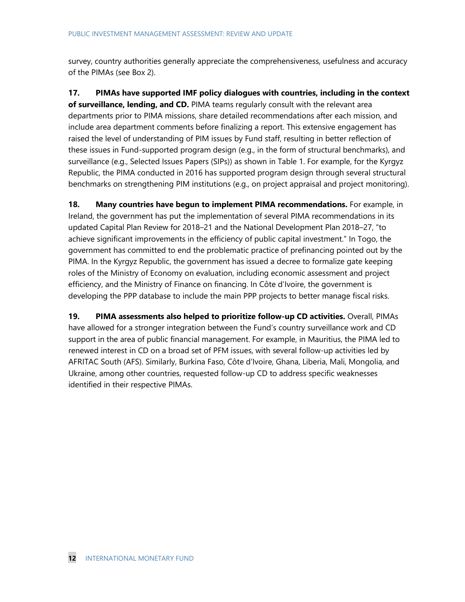survey, country authorities generally appreciate the comprehensiveness, usefulness and accuracy of the PIMAs (see Box 2).

**17. PIMAs have supported IMF policy dialogues with countries, including in the context of surveillance, lending, and CD.** PIMA teams regularly consult with the relevant area departments prior to PIMA missions, share detailed recommendations after each mission, and include area department comments before finalizing a report. This extensive engagement has raised the level of understanding of PIM issues by Fund staff, resulting in better reflection of these issues in Fund-supported program design (e.g., in the form of structural benchmarks), and surveillance (e.g., Selected Issues Papers (SIPs)) as shown in Table 1. For example, for the Kyrgyz Republic, the PIMA conducted in 2016 has supported program design through several structural benchmarks on strengthening PIM institutions (e.g., on project appraisal and project monitoring).

**18. Many countries have begun to implement PIMA recommendations.** For example, in Ireland, the government has put the implementation of several PIMA recommendations in its updated Capital Plan Review for 2018–21 and the National Development Plan 2018–27, "to achieve significant improvements in the efficiency of public capital investment." In Togo, the government has committed to end the problematic practice of prefinancing pointed out by the PIMA. In the Kyrgyz Republic, the government has issued a decree to formalize gate keeping roles of the Ministry of Economy on evaluation, including economic assessment and project efficiency, and the Ministry of Finance on financing. In Côte d'Ivoire, the government is developing the PPP database to include the main PPP projects to better manage fiscal risks.

**19. PIMA assessments also helped to prioritize follow-up CD activities.** Overall, PIMAs have allowed for a stronger integration between the Fund's country surveillance work and CD support in the area of public financial management. For example, in Mauritius, the PIMA led to renewed interest in CD on a broad set of PFM issues, with several follow-up activities led by AFRITAC South (AFS). Similarly, Burkina Faso, Côte d'Ivoire, Ghana, Liberia, Mali, Mongolia, and Ukraine, among other countries, requested follow-up CD to address specific weaknesses identified in their respective PIMAs.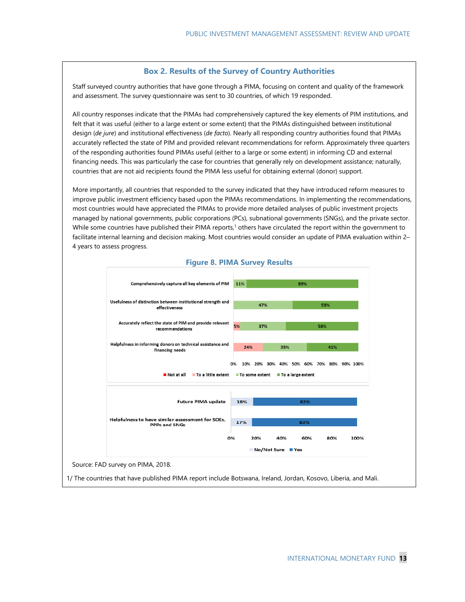#### **Box 2. Results of the Survey of Country Authorities**

Staff surveyed country authorities that have gone through a PIMA, focusing on content and quality of the framework and assessment. The survey questionnaire was sent to 30 countries, of which 19 responded.

All country responses indicate that the PIMAs had comprehensively captured the key elements of PIM institutions, and felt that it was useful (either to a large extent or some extent) that the PIMAs distinguished between institutional design (*de jure*) and institutional effectiveness (*de facto*). Nearly all responding country authorities found that PIMAs accurately reflected the state of PIM and provided relevant recommendations for reform. Approximately three quarters of the responding authorities found PIMAs useful (either to a large or some extent) in informing CD and external financing needs. This was particularly the case for countries that generally rely on development assistance; naturally, countries that are not aid recipients found the PIMA less useful for obtaining external (donor) support.

More importantly, all countries that responded to the survey indicated that they have introduced reform measures to improve public investment efficiency based upon the PIMAs recommendations. In implementing the recommendations, most countries would have appreciated the PIMAs to provide more detailed analyses of public investment projects managed by national governments, public corporations (PCs), subnational governments (SNGs), and the private sector. While some countries have published their PIMA reports,<sup>1</sup> others have circulated the report within the government to facilitate internal learning and decision making. Most countries would consider an update of PIMA evaluation within 2– 4 years to assess progress.



#### **Figure 8. PIMA Survey Results**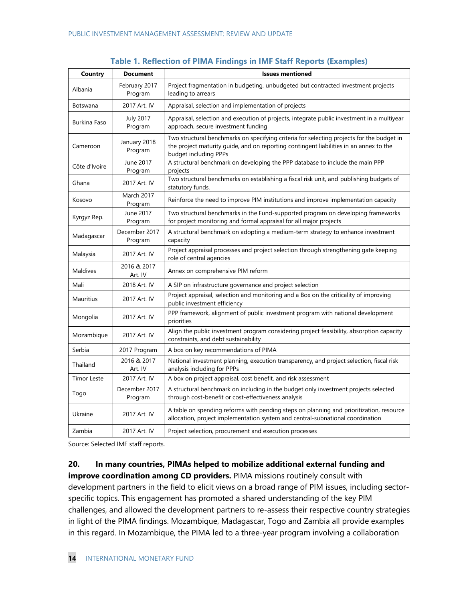| Country            | <b>Document</b>              | <b>Issues mentioned</b>                                                                                                                                                                                      |
|--------------------|------------------------------|--------------------------------------------------------------------------------------------------------------------------------------------------------------------------------------------------------------|
| Albania            | February 2017<br>Program     | Project fragmentation in budgeting, unbudgeted but contracted investment projects<br>leading to arrears                                                                                                      |
| Botswana           | 2017 Art. IV                 | Appraisal, selection and implementation of projects                                                                                                                                                          |
| Burkina Faso       | <b>July 2017</b><br>Program  | Appraisal, selection and execution of projects, integrate public investment in a multiyear<br>approach, secure investment funding                                                                            |
| Cameroon           | January 2018<br>Program      | Two structural benchmarks on specifying criteria for selecting projects for the budget in<br>the project maturity guide, and on reporting contingent liabilities in an annex to the<br>budget including PPPs |
| Côte d'Ivoire      | June 2017<br>Program         | A structural benchmark on developing the PPP database to include the main PPP<br>projects                                                                                                                    |
| Ghana              | 2017 Art. IV                 | Two structural benchmarks on establishing a fiscal risk unit, and publishing budgets of<br>statutory funds.                                                                                                  |
| Kosovo             | <b>March 2017</b><br>Program | Reinforce the need to improve PIM institutions and improve implementation capacity                                                                                                                           |
| Kyrgyz Rep.        | June 2017<br>Program         | Two structural benchmarks in the Fund-supported program on developing frameworks<br>for project monitoring and formal appraisal for all major projects                                                       |
| Madagascar         | December 2017<br>Program     | A structural benchmark on adopting a medium-term strategy to enhance investment<br>capacity                                                                                                                  |
| Malaysia           | 2017 Art. IV                 | Project appraisal processes and project selection through strengthening gate keeping<br>role of central agencies                                                                                             |
| Maldives           | 2016 & 2017<br>Art. IV       | Annex on comprehensive PIM reform                                                                                                                                                                            |
| Mali               | 2018 Art. IV                 | A SIP on infrastructure governance and project selection                                                                                                                                                     |
| Mauritius          | 2017 Art. IV                 | Project appraisal, selection and monitoring and a Box on the criticality of improving<br>public investment efficiency                                                                                        |
| Mongolia           | 2017 Art. IV                 | PPP framework, alignment of public investment program with national development<br>priorities                                                                                                                |
| Mozambique         | 2017 Art. IV                 | Align the public investment program considering project feasibility, absorption capacity<br>constraints, and debt sustainability                                                                             |
| Serbia             | 2017 Program                 | A box on key recommendations of PIMA                                                                                                                                                                         |
| Thailand           | 2016 & 2017<br>Art. IV       | National investment planning, execution transparency, and project selection, fiscal risk<br>analysis including for PPPs                                                                                      |
| <b>Timor Leste</b> | 2017 Art. IV                 | A box on project appraisal, cost benefit, and risk assessment                                                                                                                                                |
| Togo               | December 2017<br>Program     | A structural benchmark on including in the budget only investment projects selected<br>through cost-benefit or cost-effectiveness analysis                                                                   |
| Ukraine            | 2017 Art. IV                 | A table on spending reforms with pending steps on planning and prioritization, resource<br>allocation, project implementation system and central-subnational coordination                                    |
| Zambia             | 2017 Art. IV                 | Project selection, procurement and execution processes                                                                                                                                                       |

#### **Table 1. Reflection of PIMA Findings in IMF Staff Reports (Examples)**

Source: Selected IMF staff reports.

## **20. In many countries, PIMAs helped to mobilize additional external funding and**

**improve coordination among CD providers.** PIMA missions routinely consult with development partners in the field to elicit views on a broad range of PIM issues, including sectorspecific topics. This engagement has promoted a shared understanding of the key PIM challenges, and allowed the development partners to re-assess their respective country strategies in light of the PIMA findings. Mozambique, Madagascar, Togo and Zambia all provide examples in this regard. In Mozambique, the PIMA led to a three-year program involving a collaboration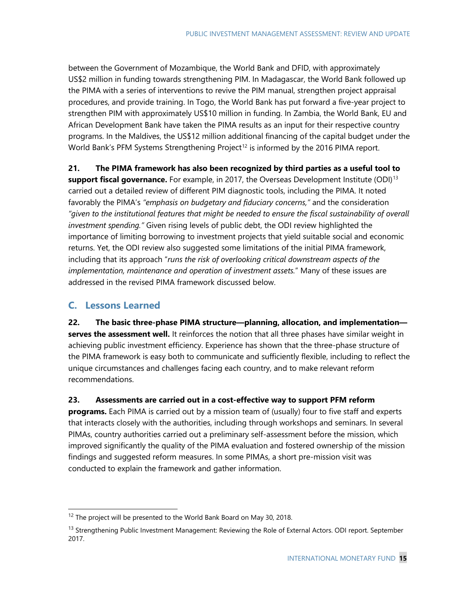between the Government of Mozambique, the World Bank and DFID, with approximately US\$2 million in funding towards strengthening PIM. In Madagascar, the World Bank followed up the PIMA with a series of interventions to revive the PIM manual, strengthen project appraisal procedures, and provide training. In Togo, the World Bank has put forward a five-year project to strengthen PIM with approximately US\$10 million in funding. In Zambia, the World Bank, EU and African Development Bank have taken the PIMA results as an input for their respective country programs. In the Maldives, the US\$12 million additional financing of the capital budget under the World Bank's PFM Systems Strengthening Project<sup>[12](#page-15-0)</sup> is informed by the 2016 PIMA report.

**21. The PIMA framework has also been recognized by third parties as a useful tool to** 

support fiscal governance. For example, in 2017, the Overseas Development Institute (ODI)<sup>[13](#page-15-1)</sup> carried out a detailed review of different PIM diagnostic tools, including the PIMA. It noted favorably the PIMA's *"emphasis on budgetary and fiduciary concerns,"* and the consideration *"given to the institutional features that might be needed to ensure the fiscal sustainability of overall investment spending."* Given rising levels of public debt, the ODI review highlighted the importance of limiting borrowing to investment projects that yield suitable social and economic returns. Yet, the ODI review also suggested some limitations of the initial PIMA framework, including that its approach "*runs the risk of overlooking critical downstream aspects of the implementation, maintenance and operation of investment assets.*" Many of these issues are addressed in the revised PIMA framework discussed below.

# **C. Lessons Learned**

**22. The basic three-phase PIMA structure—planning, allocation, and implementation** serves the assessment well. It reinforces the notion that all three phases have similar weight in achieving public investment efficiency. Experience has shown that the three-phase structure of the PIMA framework is easy both to communicate and sufficiently flexible, including to reflect the unique circumstances and challenges facing each country, and to make relevant reform recommendations.

**23. Assessments are carried out in a cost-effective way to support PFM reform** 

**programs.** Each PIMA is carried out by a mission team of (usually) four to five staff and experts that interacts closely with the authorities, including through workshops and seminars. In several PIMAs, country authorities carried out a preliminary self-assessment before the mission, which improved significantly the quality of the PIMA evaluation and fostered ownership of the mission findings and suggested reform measures. In some PIMAs, a short pre-mission visit was conducted to explain the framework and gather information.

<span id="page-15-0"></span><sup>&</sup>lt;sup>12</sup> The project will be presented to the World Bank Board on May 30, 2018.

<span id="page-15-1"></span><sup>&</sup>lt;sup>13</sup> Strengthening Public Investment Management: Reviewing the Role of External Actors. ODI report. September 2017.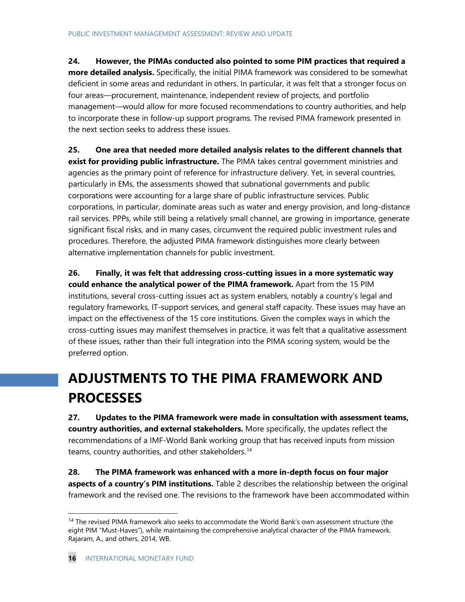# **24. However, the PIMAs conducted also pointed to some PIM practices that required a**

**more detailed analysis.** Specifically, the initial PIMA framework was considered to be somewhat deficient in some areas and redundant in others. In particular, it was felt that a stronger focus on four areas—procurement, maintenance, independent review of projects, and portfolio management—would allow for more focused recommendations to country authorities, and help to incorporate these in follow-up support programs. The revised PIMA framework presented in the next section seeks to address these issues.

**25. One area that needed more detailed analysis relates to the different channels that exist for providing public infrastructure.** The PIMA takes central government ministries and agencies as the primary point of reference for infrastructure delivery. Yet, in several countries, particularly in EMs, the assessments showed that subnational governments and public corporations were accounting for a large share of public infrastructure services. Public corporations, in particular, dominate areas such as water and energy provision, and long-distance rail services. PPPs, while still being a relatively small channel, are growing in importance, generate significant fiscal risks, and in many cases, circumvent the required public investment rules and procedures. Therefore, the adjusted PIMA framework distinguishes more clearly between alternative implementation channels for public investment.

**26. Finally, it was felt that addressing cross-cutting issues in a more systematic way could enhance the analytical power of the PIMA framework.** Apart from the 15 PIM institutions, several cross-cutting issues act as system enablers, notably a country's legal and regulatory frameworks, IT-support services, and general staff capacity. These issues may have an impact on the effectiveness of the 15 core institutions. Given the complex ways in which the cross-cutting issues may manifest themselves in practice, it was felt that a qualitative assessment of these issues, rather than their full integration into the PIMA scoring system, would be the preferred option.

# **ADJUSTMENTS TO THE PIMA FRAMEWORK AND PROCESSES**

**27. Updates to the PIMA framework were made in consultation with assessment teams, country authorities, and external stakeholders.** More specifically, the updates reflect the recommendations of a IMF-World Bank working group that has received inputs from mission teams, country authorities, and other stakeholders. [14](#page-16-0)

**28. The PIMA framework was enhanced with a more in-depth focus on four major aspects of a country's PIM institutions.** Table 2 describes the relationship between the original framework and the revised one. The revisions to the framework have been accommodated within

<span id="page-16-0"></span><sup>&</sup>lt;sup>14</sup> The revised PIMA framework also seeks to accommodate the World Bank's own assessment structure (the eight PIM "Must-Haves"), while maintaining the comprehensive analytical character of the PIMA framework*.* Rajaram, A., and others, 2014, WB.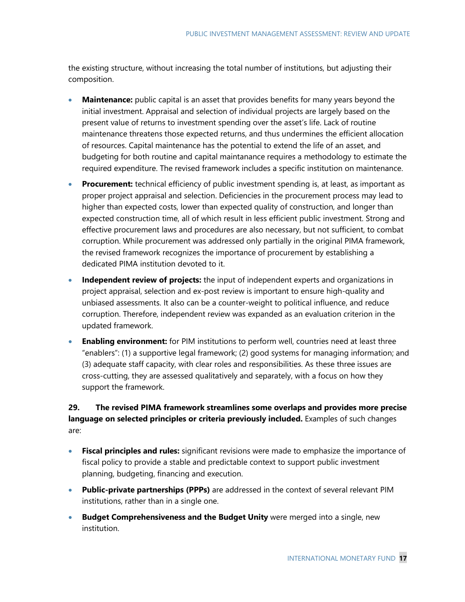the existing structure, without increasing the total number of institutions, but adjusting their composition.

- **Maintenance:** public capital is an asset that provides benefits for many years beyond the initial investment. Appraisal and selection of individual projects are largely based on the present value of returns to investment spending over the asset's life. Lack of routine maintenance threatens those expected returns, and thus undermines the efficient allocation of resources. Capital maintenance has the potential to extend the life of an asset, and budgeting for both routine and capital maintanance requires a methodology to estimate the required expenditure. The revised framework includes a specific institution on maintenance.
- **Procurement:** technical efficiency of public investment spending is, at least, as important as proper project appraisal and selection. Deficiencies in the procurement process may lead to higher than expected costs, lower than expected quality of construction, and longer than expected construction time, all of which result in less efficient public investment. Strong and effective procurement laws and procedures are also necessary, but not sufficient, to combat corruption. While procurement was addressed only partially in the original PIMA framework, the revised framework recognizes the importance of procurement by establishing a dedicated PIMA institution devoted to it.
- **Independent review of projects:** the input of independent experts and organizations in project appraisal, selection and ex-post review is important to ensure high-quality and unbiased assessments. It also can be a counter-weight to political influence, and reduce corruption. Therefore, independent review was expanded as an evaluation criterion in the updated framework.
- **Enabling environment:** for PIM institutions to perform well, countries need at least three "enablers": (1) a supportive legal framework; (2) good systems for managing information; and (3) adequate staff capacity, with clear roles and responsibilities. As these three issues are cross-cutting, they are assessed qualitatively and separately, with a focus on how they support the framework.

# **29. The revised PIMA framework streamlines some overlaps and provides more precise language on selected principles or criteria previously included.** Examples of such changes are:

- **Fiscal principles and rules:** significant revisions were made to emphasize the importance of fiscal policy to provide a stable and predictable context to support public investment planning, budgeting, financing and execution.
- **Public-private partnerships (PPPs)** are addressed in the context of several relevant PIM institutions, rather than in a single one.
- **Budget Comprehensiveness and the Budget Unity** were merged into a single, new institution.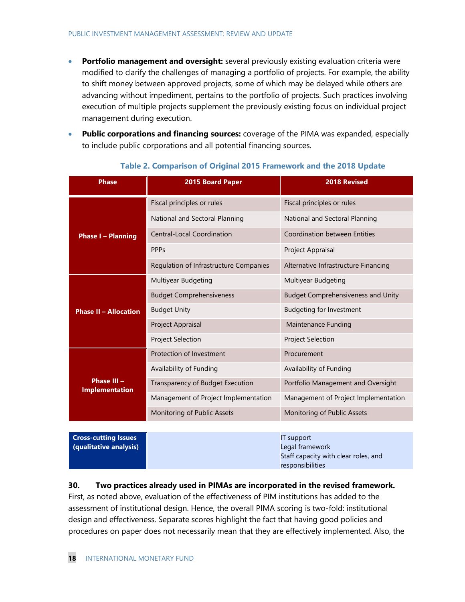- **Portfolio management and oversight:** several previously existing evaluation criteria were modified to clarify the challenges of managing a portfolio of projects. For example, the ability to shift money between approved projects, some of which may be delayed while others are advancing without impediment, pertains to the portfolio of projects. Such practices involving execution of multiple projects supplement the previously existing focus on individual project management during execution.
- **Public corporations and financing sources:** coverage of the PIMA was expanded, especially to include public corporations and all potential financing sources.

| <b>Phase</b>                                          | 2015 Board Paper                       | <b>2018 Revised</b>                                                                       |
|-------------------------------------------------------|----------------------------------------|-------------------------------------------------------------------------------------------|
|                                                       | Fiscal principles or rules             | Fiscal principles or rules                                                                |
|                                                       | National and Sectoral Planning         | National and Sectoral Planning                                                            |
| <b>Phase I - Planning</b>                             | <b>Central-Local Coordination</b>      | <b>Coordination between Entities</b>                                                      |
|                                                       | <b>PPPs</b>                            | Project Appraisal                                                                         |
|                                                       | Regulation of Infrastructure Companies | Alternative Infrastructure Financing                                                      |
|                                                       | Multiyear Budgeting                    | Multiyear Budgeting                                                                       |
|                                                       | <b>Budget Comprehensiveness</b>        | <b>Budget Comprehensiveness and Unity</b>                                                 |
| <b>Phase II - Allocation</b>                          | <b>Budget Unity</b>                    | <b>Budgeting for Investment</b>                                                           |
|                                                       | Project Appraisal                      | <b>Maintenance Funding</b>                                                                |
|                                                       | <b>Project Selection</b>               | Project Selection                                                                         |
|                                                       | Protection of Investment               | Procurement                                                                               |
|                                                       | Availability of Funding                | Availability of Funding                                                                   |
| Phase III -<br><b>Implementation</b>                  | Transparency of Budget Execution       | Portfolio Management and Oversight                                                        |
|                                                       | Management of Project Implementation   | Management of Project Implementation                                                      |
|                                                       | Monitoring of Public Assets            | Monitoring of Public Assets                                                               |
|                                                       |                                        |                                                                                           |
| <b>Cross-cutting Issues</b><br>(qualitative analysis) |                                        | IT support<br>Legal framework<br>Staff capacity with clear roles, and<br>responsibilities |

#### **Table 2. Comparison of Original 2015 Framework and the 2018 Update**

#### **30. Two practices already used in PIMAs are incorporated in the revised framework.**

First, as noted above, evaluation of the effectiveness of PIM institutions has added to the assessment of institutional design. Hence, the overall PIMA scoring is two-fold: institutional design and effectiveness. Separate scores highlight the fact that having good policies and procedures on paper does not necessarily mean that they are effectively implemented. Also, the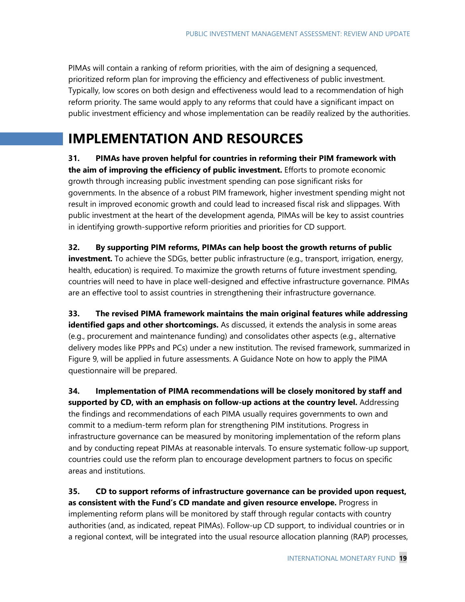PIMAs will contain a ranking of reform priorities, with the aim of designing a sequenced, prioritized reform plan for improving the efficiency and effectiveness of public investment. Typically, low scores on both design and effectiveness would lead to a recommendation of high reform priority. The same would apply to any reforms that could have a significant impact on public investment efficiency and whose implementation can be readily realized by the authorities.

# **IMPLEMENTATION AND RESOURCES**

**31. PIMAs have proven helpful for countries in reforming their PIM framework with the aim of improving the efficiency of public investment.** Efforts to promote economic growth through increasing public investment spending can pose significant risks for governments. In the absence of a robust PIM framework, higher investment spending might not result in improved economic growth and could lead to increased fiscal risk and slippages. With public investment at the heart of the development agenda, PIMAs will be key to assist countries in identifying growth-supportive reform priorities and priorities for CD support.

**32. By supporting PIM reforms, PIMAs can help boost the growth returns of public investment.** To achieve the SDGs, better public infrastructure (e.g., transport, irrigation, energy, health, education) is required. To maximize the growth returns of future investment spending, countries will need to have in place well-designed and effective infrastructure governance. PIMAs are an effective tool to assist countries in strengthening their infrastructure governance.

**33. The revised PIMA framework maintains the main original features while addressing identified gaps and other shortcomings.** As discussed, it extends the analysis in some areas (e.g., procurement and maintenance funding) and consolidates other aspects (e.g., alternative delivery modes like PPPs and PCs) under a new institution. The revised framework, summarized in Figure 9, will be applied in future assessments. A Guidance Note on how to apply the PIMA questionnaire will be prepared.

**34. Implementation of PIMA recommendations will be closely monitored by staff and supported by CD, with an emphasis on follow-up actions at the country level.** Addressing the findings and recommendations of each PIMA usually requires governments to own and commit to a medium-term reform plan for strengthening PIM institutions. Progress in infrastructure governance can be measured by monitoring implementation of the reform plans and by conducting repeat PIMAs at reasonable intervals. To ensure systematic follow-up support, countries could use the reform plan to encourage development partners to focus on specific areas and institutions.

**35. CD to support reforms of infrastructure governance can be provided upon request, as consistent with the Fund's CD mandate and given resource envelope.** Progress in implementing reform plans will be monitored by staff through regular contacts with country authorities (and, as indicated, repeat PIMAs). Follow-up CD support, to individual countries or in a regional context, will be integrated into the usual resource allocation planning (RAP) processes,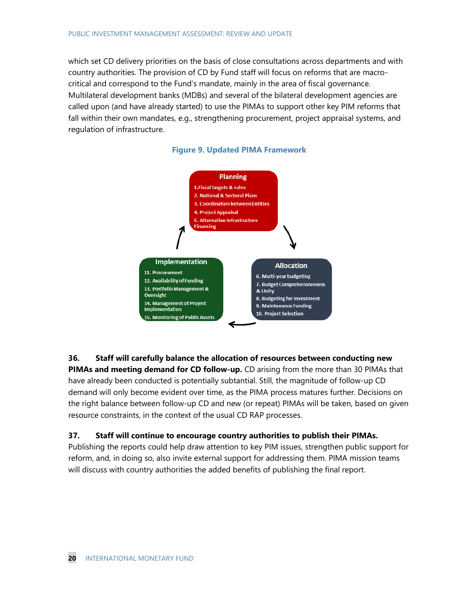which set CD delivery priorities on the basis of close consultations across departments and with country authorities. The provision of CD by Fund staff will focus on reforms that are macrocritical and correspond to the Fund's mandate, mainly in the area of fiscal governance. Multilateral development banks (MDBs) and several of the bilateral development agencies are called upon (and have already started) to use the PIMAs to support other key PIM reforms that fall within their own mandates, e.g., strengthening procurement, project appraisal systems, and regulation of infrastructure.

#### **Figure 9. Updated PIMA Framework**



**36. Staff will carefully balance the allocation of resources between conducting new PIMAs and meeting demand for CD follow-up.** CD arising from the more than 30 PIMAs that have already been conducted is potentially subtantial. Still, the magnitude of follow-up CD demand will only become evident over time, as the PIMA process matures further. Decisions on the right balance between follow-up CD and new (or repeat) PIMAs will be taken, based on given resource constraints, in the context of the usual CD RAP processes.

### **37. Staff will continue to encourage country authorities to publish their PIMAs.**

Publishing the reports could help draw attention to key PIM issues, strengthen public support for reform, and, in doing so, also invite external support for addressing them. PIMA mission teams will discuss with country authorities the added benefits of publishing the final report.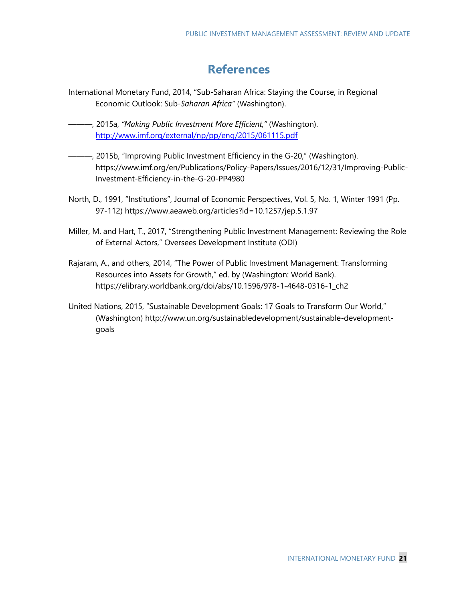# **References**

- International Monetary Fund, 2014, "Sub-Saharan Africa: Staying the Course, in Regional Economic Outlook: Sub*-Saharan Africa"* (Washington).
- ———, 2015a, *"Making Public Investment More Efficient,"* (Washington). <http://www.imf.org/external/np/pp/eng/2015/061115.pdf>
- ———, 2015b, "Improving Public Investment Efficiency in the G-20," (Washington). [https://www.imf.org/en/Publications/Policy-Papers/Issues/2016/12/31/Improving-Public-](https://www.imf.org/en/Publications/Policy-Papers/Issues/2016/12/31/Improving-Public-Investment-Efficiency-in-the-G-20-PP4980)[Investment-Efficiency-in-the-G-20-PP4980](https://www.imf.org/en/Publications/Policy-Papers/Issues/2016/12/31/Improving-Public-Investment-Efficiency-in-the-G-20-PP4980)
- North, D., 1991, "Institutions", Journal of Economic Perspectives, Vol. 5, No. 1, Winter 1991 (Pp. 97-112)<https://www.aeaweb.org/articles?id=10.1257/jep.5.1.97>
- Miller, M. and Hart, T., 2017, "Strengthening Public Investment Management: Reviewing the Role of External Actors," Oversees Development Institute (ODI)
- Rajaram, A., and others, 2014, "The Power of Public Investment Management: Transforming Resources into Assets for Growth," ed. by (Washington: World Bank). [https://elibrary.worldbank.org/doi/abs/10.1596/978-1-4648-0316-1\\_ch2](https://elibrary.worldbank.org/doi/abs/10.1596/978-1-4648-0316-1_ch2)
- United Nations, 2015, "Sustainable Development Goals: 17 Goals to Transform Our World," (Washington) [http://www.un.org/sustainabledevelopment/sustainable-development](http://www.un.org/sustainabledevelopment/sustainable-development-goals)[goals](http://www.un.org/sustainabledevelopment/sustainable-development-goals)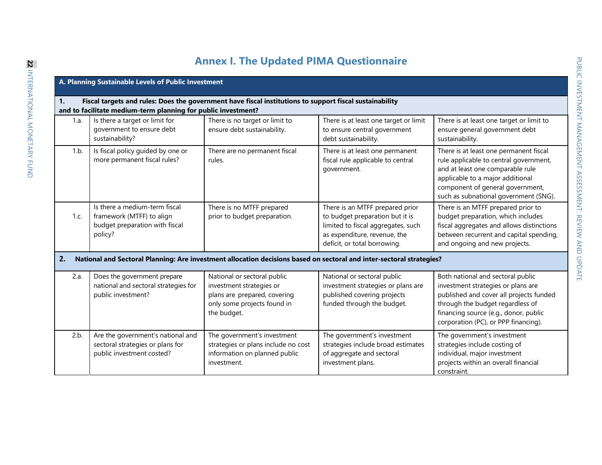# **Annex I. The Updated PIMA Questionnaire**

|      | A. Planning Sustainable Levels of Public Investment                                                                                                                      |                                                                                                                                       |                                                                                                                                                                          |                                                                                                                                                                                                                                         |  |
|------|--------------------------------------------------------------------------------------------------------------------------------------------------------------------------|---------------------------------------------------------------------------------------------------------------------------------------|--------------------------------------------------------------------------------------------------------------------------------------------------------------------------|-----------------------------------------------------------------------------------------------------------------------------------------------------------------------------------------------------------------------------------------|--|
| 1.   | Fiscal targets and rules: Does the government have fiscal institutions to support fiscal sustainability<br>and to facilitate medium-term planning for public investment? |                                                                                                                                       |                                                                                                                                                                          |                                                                                                                                                                                                                                         |  |
| 1.a. | Is there a target or limit for<br>government to ensure debt<br>sustainability?                                                                                           | There is no target or limit to<br>ensure debt sustainability.                                                                         | There is at least one target or limit<br>to ensure central government<br>debt sustainability.                                                                            | There is at least one target or limit to<br>ensure general government debt<br>sustainability.                                                                                                                                           |  |
| 1.b. | Is fiscal policy guided by one or<br>more permanent fiscal rules?                                                                                                        | There are no permanent fiscal<br>rules.                                                                                               | There is at least one permanent<br>fiscal rule applicable to central<br>government.                                                                                      | There is at least one permanent fiscal<br>rule applicable to central government,<br>and at least one comparable rule<br>applicable to a major additional<br>component of general government,<br>such as subnational government (SNG).   |  |
| 1.c. | Is there a medium-term fiscal<br>framework (MTFF) to align<br>budget preparation with fiscal<br>policy?                                                                  | There is no MTFF prepared<br>prior to budget preparation.                                                                             | There is an MTFF prepared prior<br>to budget preparation but it is<br>limited to fiscal aggregates, such<br>as expenditure, revenue, the<br>deficit, or total borrowing. | There is an MTFF prepared prior to<br>budget preparation, which includes<br>fiscal aggregates and allows distinctions<br>between recurrent and capital spending,<br>and ongoing and new projects.                                       |  |
| 2.   |                                                                                                                                                                          |                                                                                                                                       | National and Sectoral Planning: Are investment allocation decisions based on sectoral and inter-sectoral strategies?                                                     |                                                                                                                                                                                                                                         |  |
| 2.a. | Does the government prepare<br>national and sectoral strategies for<br>public investment?                                                                                | National or sectoral public<br>investment strategies or<br>plans are prepared, covering<br>only some projects found in<br>the budget. | National or sectoral public<br>investment strategies or plans are<br>published covering projects<br>funded through the budget.                                           | Both national and sectoral public<br>investment strategies or plans are<br>published and cover all projects funded<br>through the budget regardless of<br>financing source (e.g., donor, public<br>corporation (PC), or PPP financing). |  |
| 2.b. | Are the government's national and<br>sectoral strategies or plans for<br>public investment costed?                                                                       | The government's investment<br>strategies or plans include no cost<br>information on planned public<br>investment.                    | The government's investment<br>strategies include broad estimates<br>of aggregate and sectoral<br>investment plans.                                                      | The government's investment<br>strategies include costing of<br>individual, major investment<br>projects within an overall financial<br>constraint.                                                                                     |  |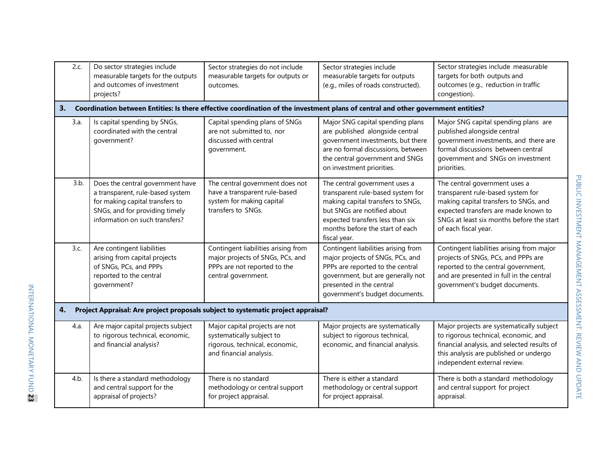| 2.c. | Do sector strategies include<br>measurable targets for the outputs<br>and outcomes of investment<br>projects?                                                               | Sector strategies do not include<br>measurable targets for outputs or<br>outcomes.                                             | Sector strategies include<br>measurable targets for outputs<br>(e.g., miles of roads constructed).                                                                                                                            | Sector strategies include measurable<br>targets for both outputs and<br>outcomes (e.g., reduction in traffic<br>congestion).                                                                                             |
|------|-----------------------------------------------------------------------------------------------------------------------------------------------------------------------------|--------------------------------------------------------------------------------------------------------------------------------|-------------------------------------------------------------------------------------------------------------------------------------------------------------------------------------------------------------------------------|--------------------------------------------------------------------------------------------------------------------------------------------------------------------------------------------------------------------------|
| 3.   |                                                                                                                                                                             |                                                                                                                                | Coordination between Entities: Is there effective coordination of the investment plans of central and other government entities?                                                                                              |                                                                                                                                                                                                                          |
| 3.a. | Is capital spending by SNGs,<br>coordinated with the central<br>qovernment?                                                                                                 | Capital spending plans of SNGs<br>are not submitted to, nor<br>discussed with central<br>government.                           | Major SNG capital spending plans<br>are published alongside central<br>government investments, but there<br>are no formal discussions, between<br>the central government and SNGs<br>on investment priorities.                | Major SNG capital spending plans are<br>published alongside central<br>government investments, and there are<br>formal discussions between central<br>government and SNGs on investment<br>priorities.                   |
| 3.b. | Does the central government have<br>a transparent, rule-based system<br>for making capital transfers to<br>SNGs, and for providing timely<br>information on such transfers? | The central government does not<br>have a transparent rule-based<br>system for making capital<br>transfers to SNGs.            | The central government uses a<br>transparent rule-based system for<br>making capital transfers to SNGs,<br>but SNGs are notified about<br>expected transfers less than six<br>months before the start of each<br>fiscal year. | The central government uses a<br>transparent rule-based system for<br>making capital transfers to SNGs, and<br>expected transfers are made known to<br>SNGs at least six months before the start<br>of each fiscal year. |
| 3.c. | Are contingent liabilities<br>arising from capital projects<br>of SNGs, PCs, and PPPs<br>reported to the central<br>government?                                             | Contingent liabilities arising from<br>major projects of SNGs, PCs, and<br>PPPs are not reported to the<br>central government. | Contingent liabilities arising from<br>major projects of SNGs, PCs, and<br>PPPs are reported to the central<br>government, but are generally not<br>presented in the central<br>government's budget documents.                | Contingent liabilities arising from major<br>projects of SNGs, PCs, and PPPs are<br>reported to the central government,<br>and are presented in full in the central<br>government's budget documents.                    |
| 4.   |                                                                                                                                                                             | Project Appraisal: Are project proposals subject to systematic project appraisal?                                              |                                                                                                                                                                                                                               |                                                                                                                                                                                                                          |
| 4.a. | Are major capital projects subject<br>to rigorous technical, economic,<br>and financial analysis?                                                                           | Major capital projects are not<br>systematically subject to<br>rigorous, technical, economic,<br>and financial analysis.       | Major projects are systematically<br>subject to rigorous technical,<br>economic, and financial analysis.                                                                                                                      | Major projects are systematically subject<br>to rigorous technical, economic, and<br>financial analysis, and selected results of<br>this analysis are published or undergo<br>independent external review.               |
| 4.b. | Is there a standard methodology<br>and central support for the<br>appraisal of projects?                                                                                    | There is no standard<br>methodology or central support<br>for project appraisal.                                               | There is either a standard<br>methodology or central support<br>for project appraisal.                                                                                                                                        | There is both a standard methodology<br>and central support for project<br>appraisal.                                                                                                                                    |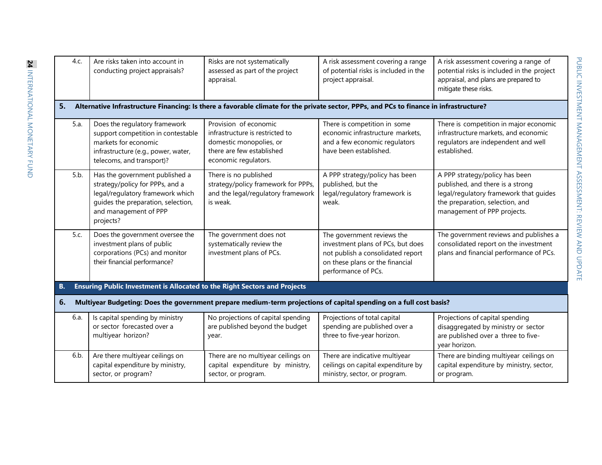| 4.c. | Are risks taken into account in<br>conducting project appraisals?                                                                                                                 | Risks are not systematically<br>assessed as part of the project<br>appraisal.                                                            | A risk assessment covering a range<br>of potential risks is included in the<br>project appraisal.                                                              | A risk assessment covering a range of<br>potential risks is included in the project<br>appraisal, and plans are prepared to<br>mitigate these risks.                           |
|------|-----------------------------------------------------------------------------------------------------------------------------------------------------------------------------------|------------------------------------------------------------------------------------------------------------------------------------------|----------------------------------------------------------------------------------------------------------------------------------------------------------------|--------------------------------------------------------------------------------------------------------------------------------------------------------------------------------|
| 5.   |                                                                                                                                                                                   | Alternative Infrastructure Financing: Is there a favorable climate for the private sector, PPPs, and PCs to finance in infrastructure?   |                                                                                                                                                                |                                                                                                                                                                                |
| 5.a. | Does the regulatory framework<br>support competition in contestable<br>markets for economic<br>infrastructure (e.g., power, water,<br>telecoms, and transport)?                   | Provision of economic<br>infrastructure is restricted to<br>domestic monopolies, or<br>there are few established<br>economic regulators. | There is competition in some<br>economic infrastructure markets,<br>and a few economic regulators<br>have been established.                                    | There is competition in major economic<br>infrastructure markets, and economic<br>regulators are independent and well<br>established.                                          |
| 5.b. | Has the government published a<br>strategy/policy for PPPs, and a<br>legal/regulatory framework which<br>guides the preparation, selection,<br>and management of PPP<br>projects? | There is no published<br>strategy/policy framework for PPPs,<br>and the legal/regulatory framework<br>is weak.                           | A PPP strategy/policy has been<br>published, but the<br>legal/regulatory framework is<br>weak.                                                                 | A PPP strategy/policy has been<br>published, and there is a strong<br>legal/regulatory framework that guides<br>the preparation, selection, and<br>management of PPP projects. |
| 5.c. | Does the government oversee the<br>investment plans of public<br>corporations (PCs) and monitor<br>their financial performance?                                                   | The government does not<br>systematically review the<br>investment plans of PCs.                                                         | The government reviews the<br>investment plans of PCs, but does<br>not publish a consolidated report<br>on these plans or the financial<br>performance of PCs. | The government reviews and publishes a<br>consolidated report on the investment<br>plans and financial performance of PCs.                                                     |
| В.   | Ensuring Public Investment is Allocated to the Right Sectors and Projects                                                                                                         |                                                                                                                                          |                                                                                                                                                                |                                                                                                                                                                                |
| 6.   |                                                                                                                                                                                   | Multiyear Budgeting: Does the government prepare medium-term projections of capital spending on a full cost basis?                       |                                                                                                                                                                |                                                                                                                                                                                |
| 6.a. | Is capital spending by ministry<br>or sector forecasted over a<br>multiyear horizon?                                                                                              | No projections of capital spending<br>are published beyond the budget<br>year.                                                           | Projections of total capital<br>spending are published over a<br>three to five-year horizon.                                                                   | Projections of capital spending<br>disaggregated by ministry or sector<br>are published over a three to five-<br>year horizon.                                                 |
| 6.b. | Are there multiyear ceilings on<br>capital expenditure by ministry,<br>sector, or program?                                                                                        | There are no multiyear ceilings on<br>capital expenditure by ministry,<br>sector, or program.                                            | There are indicative multiyear<br>ceilings on capital expenditure by<br>ministry, sector, or program.                                                          | There are binding multiyear ceilings on<br>capital expenditure by ministry, sector,<br>or program.                                                                             |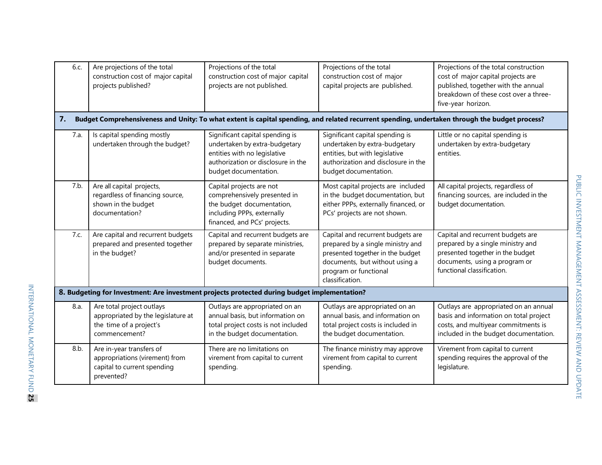| 6.c. | Are projections of the total<br>construction cost of major capital<br>projects published?                   | Projections of the total<br>construction cost of major capital<br>projects are not published.                                                                   | Projections of the total<br>construction cost of major<br>capital projects are published.                                                                                                | Projections of the total construction<br>cost of major capital projects are<br>published, together with the annual<br>breakdown of these cost over a three-<br>five-year horizon. |
|------|-------------------------------------------------------------------------------------------------------------|-----------------------------------------------------------------------------------------------------------------------------------------------------------------|------------------------------------------------------------------------------------------------------------------------------------------------------------------------------------------|-----------------------------------------------------------------------------------------------------------------------------------------------------------------------------------|
| 7.   |                                                                                                             |                                                                                                                                                                 | Budget Comprehensiveness and Unity: To what extent is capital spending, and related recurrent spending, undertaken through the budget process?                                           |                                                                                                                                                                                   |
| 7.a. | Is capital spending mostly<br>undertaken through the budget?                                                | Significant capital spending is<br>undertaken by extra-budgetary<br>entities with no legislative<br>authorization or disclosure in the<br>budget documentation. | Significant capital spending is<br>undertaken by extra-budgetary<br>entities, but with legislative<br>authorization and disclosure in the<br>budget documentation.                       | Little or no capital spending is<br>undertaken by extra-budgetary<br>entities.                                                                                                    |
| 7.b. | Are all capital projects,<br>regardless of financing source,<br>shown in the budget<br>documentation?       | Capital projects are not<br>comprehensively presented in<br>the budget documentation,<br>including PPPs, externally<br>financed, and PCs' projects.             | Most capital projects are included<br>in the budget documentation, but<br>either PPPs, externally financed, or<br>PCs' projects are not shown.                                           | All capital projects, regardless of<br>financing sources, are included in the<br>budget documentation.                                                                            |
| 7.c. | Are capital and recurrent budgets<br>prepared and presented together<br>in the budget?                      | Capital and recurrent budgets are<br>prepared by separate ministries,<br>and/or presented in separate<br>budget documents.                                      | Capital and recurrent budgets are<br>prepared by a single ministry and<br>presented together in the budget<br>documents, but without using a<br>program or functional<br>classification. | Capital and recurrent budgets are<br>prepared by a single ministry and<br>presented together in the budget<br>documents, using a program or<br>functional classification.         |
|      |                                                                                                             | 8. Budgeting for Investment: Are investment projects protected during budget implementation?                                                                    |                                                                                                                                                                                          |                                                                                                                                                                                   |
| 8.a. | Are total project outlays<br>appropriated by the legislature at<br>the time of a project's<br>commencement? | Outlays are appropriated on an<br>annual basis, but information on<br>total project costs is not included<br>in the budget documentation.                       | Outlays are appropriated on an<br>annual basis, and information on<br>total project costs is included in<br>the budget documentation.                                                    | Outlays are appropriated on an annual<br>basis and information on total project<br>costs, and multiyear commitments is<br>included in the budget documentation.                   |
| 8.b. | Are in-year transfers of<br>appropriations (virement) from<br>capital to current spending<br>prevented?     | There are no limitations on<br>virement from capital to current<br>spending.                                                                                    | The finance ministry may approve<br>virement from capital to current<br>spending.                                                                                                        | Virement from capital to current<br>spending requires the approval of the<br>legislature.                                                                                         |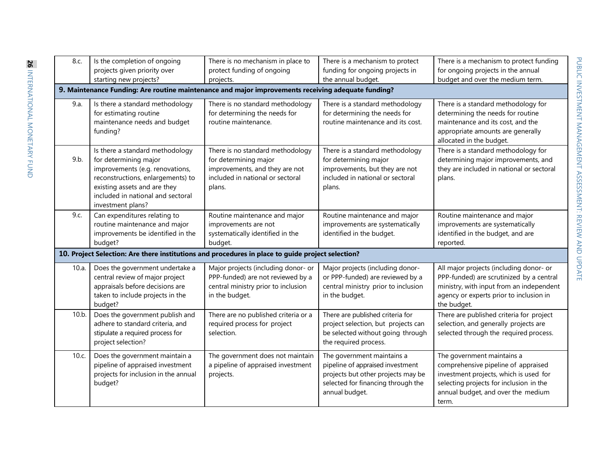| 8.c.  | Is the completion of ongoing<br>projects given priority over<br>starting new projects?                                                                                                                                     | There is no mechanism in place to<br>protect funding of ongoing<br>projects.                                                              | There is a mechanism to protect<br>funding for ongoing projects in<br>the annual budget.                                                                     | There is a mechanism to protect funding<br>for ongoing projects in the annual<br>budget and over the medium term.                                                                                     |
|-------|----------------------------------------------------------------------------------------------------------------------------------------------------------------------------------------------------------------------------|-------------------------------------------------------------------------------------------------------------------------------------------|--------------------------------------------------------------------------------------------------------------------------------------------------------------|-------------------------------------------------------------------------------------------------------------------------------------------------------------------------------------------------------|
|       | 9. Maintenance Funding: Are routine maintenance and major improvements receiving adequate funding?                                                                                                                         |                                                                                                                                           |                                                                                                                                                              |                                                                                                                                                                                                       |
| 9.a.  | Is there a standard methodology<br>for estimating routine<br>maintenance needs and budget<br>funding?                                                                                                                      | There is no standard methodology<br>for determining the needs for<br>routine maintenance.                                                 | There is a standard methodology<br>for determining the needs for<br>routine maintenance and its cost.                                                        | There is a standard methodology for<br>determining the needs for routine<br>maintenance and its cost, and the<br>appropriate amounts are generally<br>allocated in the budget.                        |
| 9.b.  | Is there a standard methodology<br>for determining major<br>improvements (e.g. renovations,<br>reconstructions, enlargements) to<br>existing assets and are they<br>included in national and sectoral<br>investment plans? | There is no standard methodology<br>for determining major<br>improvements, and they are not<br>included in national or sectoral<br>plans. | There is a standard methodology<br>for determining major<br>improvements, but they are not<br>included in national or sectoral<br>plans.                     | There is a standard methodology for<br>determining major improvements, and<br>they are included in national or sectoral<br>plans.                                                                     |
| 9.c.  | Can expenditures relating to<br>routine maintenance and major<br>improvements be identified in the<br>budget?                                                                                                              | Routine maintenance and major<br>improvements are not<br>systematically identified in the<br>budget.                                      | Routine maintenance and major<br>improvements are systematically<br>identified in the budget.                                                                | Routine maintenance and major<br>improvements are systematically<br>identified in the budget, and are<br>reported.                                                                                    |
|       | 10. Project Selection: Are there institutions and procedures in place to guide project selection?                                                                                                                          |                                                                                                                                           |                                                                                                                                                              |                                                                                                                                                                                                       |
| 10.a. | Does the government undertake a<br>central review of major project<br>appraisals before decisions are<br>taken to include projects in the<br>budget?                                                                       | Major projects (including donor- or<br>PPP-funded) are not reviewed by a<br>central ministry prior to inclusion<br>in the budget.         | Major projects (including donor-<br>or PPP-funded) are reviewed by a<br>central ministry prior to inclusion<br>in the budget.                                | All major projects (including donor- or<br>PPP-funded) are scrutinized by a central<br>ministry, with input from an independent<br>agency or experts prior to inclusion in<br>the budget.             |
| 10.b. | Does the government publish and<br>adhere to standard criteria, and<br>stipulate a required process for<br>project selection?                                                                                              | There are no published criteria or a<br>required process for project<br>selection.                                                        | There are published criteria for<br>project selection, but projects can<br>be selected without going through<br>the required process.                        | There are published criteria for project<br>selection, and generally projects are<br>selected through the required process.                                                                           |
| 10.c. | Does the government maintain a<br>pipeline of appraised investment<br>projects for inclusion in the annual<br>budget?                                                                                                      | The government does not maintain<br>a pipeline of appraised investment<br>projects.                                                       | The government maintains a<br>pipeline of appraised investment<br>projects but other projects may be<br>selected for financing through the<br>annual budget. | The government maintains a<br>comprehensive pipeline of appraised<br>investment projects, which is used for<br>selecting projects for inclusion in the<br>annual budget, and over the medium<br>term. |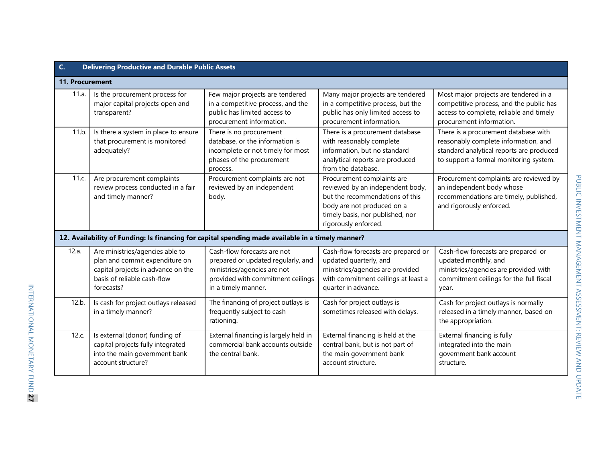|                 | <b>Delivering Productive and Durable Public Assets</b>                                                                                               |                                                                                                                                                              |                                                                                                                                                                                             |                                                                                                                                                                    |
|-----------------|------------------------------------------------------------------------------------------------------------------------------------------------------|--------------------------------------------------------------------------------------------------------------------------------------------------------------|---------------------------------------------------------------------------------------------------------------------------------------------------------------------------------------------|--------------------------------------------------------------------------------------------------------------------------------------------------------------------|
| 11. Procurement |                                                                                                                                                      |                                                                                                                                                              |                                                                                                                                                                                             |                                                                                                                                                                    |
| 11.a.           | Is the procurement process for<br>major capital projects open and<br>transparent?                                                                    | Few major projects are tendered<br>in a competitive process, and the<br>public has limited access to<br>procurement information.                             | Many major projects are tendered<br>in a competitive process, but the<br>public has only limited access to<br>procurement information.                                                      | Most major projects are tendered in a<br>competitive process, and the public has<br>access to complete, reliable and timely<br>procurement information.            |
| 11.b.           | Is there a system in place to ensure<br>that procurement is monitored<br>adequately?                                                                 | There is no procurement<br>database, or the information is<br>incomplete or not timely for most<br>phases of the procurement<br>process.                     | There is a procurement database<br>with reasonably complete<br>information, but no standard<br>analytical reports are produced<br>from the database.                                        | There is a procurement database with<br>reasonably complete information, and<br>standard analytical reports are produced<br>to support a formal monitoring system. |
| 11.c.           | Are procurement complaints<br>review process conducted in a fair<br>and timely manner?                                                               | Procurement complaints are not<br>reviewed by an independent<br>body.                                                                                        | Procurement complaints are<br>reviewed by an independent body,<br>but the recommendations of this<br>body are not produced on a<br>timely basis, nor published, nor<br>rigorously enforced. | Procurement complaints are reviewed by<br>an independent body whose<br>recommendations are timely, published,<br>and rigorously enforced.                          |
|                 | 12. Availability of Funding: Is financing for capital spending made available in a timely manner?                                                    |                                                                                                                                                              |                                                                                                                                                                                             |                                                                                                                                                                    |
| 12.a.           | Are ministries/agencies able to<br>plan and commit expenditure on<br>capital projects in advance on the<br>basis of reliable cash-flow<br>forecasts? | Cash-flow forecasts are not<br>prepared or updated regularly, and<br>ministries/agencies are not<br>provided with commitment ceilings<br>in a timely manner. | Cash-flow forecasts are prepared or<br>updated quarterly, and<br>ministries/agencies are provided<br>with commitment ceilings at least a<br>quarter in advance.                             | Cash-flow forecasts are prepared or<br>updated monthly, and<br>ministries/agencies are provided with<br>commitment ceilings for the full fiscal<br>year.           |
| 12.b.           | Is cash for project outlays released<br>in a timely manner?                                                                                          | The financing of project outlays is<br>frequently subject to cash<br>rationing.                                                                              | Cash for project outlays is<br>sometimes released with delays.                                                                                                                              | Cash for project outlays is normally<br>released in a timely manner, based on<br>the appropriation.                                                                |
| 12.c.           | Is external (donor) funding of<br>capital projects fully integrated<br>into the main government bank<br>account structure?                           | External financing is largely held in<br>commercial bank accounts outside<br>the central bank.                                                               | External financing is held at the<br>central bank, but is not part of<br>the main government bank<br>account structure.                                                                     | External financing is fully<br>integrated into the main<br>government bank account<br>structure.                                                                   |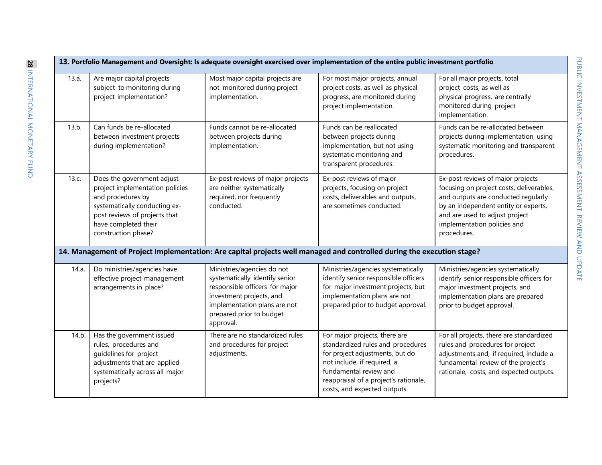|       |                                                                                                                                                                                                     |                                                                                                                                                                                                     | 13. Portfolio Management and Oversight: Is adequate oversight exercised over implementation of the entire public investment portfolio                                                                                                   |                                                                                                                                                                                                                                              |
|-------|-----------------------------------------------------------------------------------------------------------------------------------------------------------------------------------------------------|-----------------------------------------------------------------------------------------------------------------------------------------------------------------------------------------------------|-----------------------------------------------------------------------------------------------------------------------------------------------------------------------------------------------------------------------------------------|----------------------------------------------------------------------------------------------------------------------------------------------------------------------------------------------------------------------------------------------|
| 13.a. | Are major capital projects<br>subject to monitoring during<br>project implementation?                                                                                                               | Most major capital projects are<br>not monitored during project<br>implementation.                                                                                                                  | For most major projects, annual<br>project costs, as well as physical<br>progress, are monitored during<br>project implementation.                                                                                                      | For all major projects, total<br>project costs, as well as<br>physical progress, are centrally<br>monitored during project<br>implementation.                                                                                                |
| 13.b. | Can funds be re-allocated<br>between investment projects<br>during implementation?                                                                                                                  | Funds cannot be re-allocated<br>between projects during<br>implementation.                                                                                                                          | Funds can be reallocated<br>between projects during<br>implementation, but not using<br>systematic monitoring and<br>transparent procedures.                                                                                            | Funds can be re-allocated between<br>projects during implementation, using<br>systematic monitoring and transparent<br>procedures.                                                                                                           |
| 13.c. | Does the government adjust<br>project implementation policies<br>and procedures by<br>systematically conducting ex-<br>post reviews of projects that<br>have completed their<br>construction phase? | Ex-post reviews of major projects<br>are neither systematically<br>required, nor frequently<br>conducted.                                                                                           | Ex-post reviews of major<br>projects, focusing on project<br>costs, deliverables and outputs,<br>are sometimes conducted.                                                                                                               | Ex-post reviews of major projects<br>focusing on project costs, deliverables,<br>and outputs are conducted regularly<br>by an independent entity or experts,<br>and are used to adjust project<br>implementation policies and<br>procedures. |
|       |                                                                                                                                                                                                     |                                                                                                                                                                                                     | 14. Management of Project Implementation: Are capital projects well managed and controlled during the execution stage?                                                                                                                  |                                                                                                                                                                                                                                              |
| 14.a. | Do ministries/agencies have<br>effective project management<br>arrangements in place?                                                                                                               | Ministries/agencies do not<br>systematically identify senior<br>responsible officers for major<br>investment projects, and<br>implementation plans are not<br>prepared prior to budget<br>approval. | Ministries/agencies systematically<br>identify senior responsible officers<br>for major investment projects, but<br>implementation plans are not<br>prepared prior to budget approval.                                                  | Ministries/agencies systematically<br>identify senior responsible officers for<br>major investment projects, and<br>implementation plans are prepared<br>prior to budget approval.                                                           |
| 14.b. | Has the government issued<br>rules, procedures and<br>quidelines for project<br>adjustments that are applied<br>systematically across all major<br>projects?                                        | There are no standardized rules<br>and procedures for project<br>adjustments.                                                                                                                       | For major projects, there are<br>standardized rules and procedures<br>for project adjustments, but do<br>not include, if required, a<br>fundamental review and<br>reappraisal of a project's rationale,<br>costs, and expected outputs. | For all projects, there are standardized<br>rules and procedures for project<br>adjustments and, if required, include a<br>fundamental review of the project's<br>rationale, costs, and expected outputs.                                    |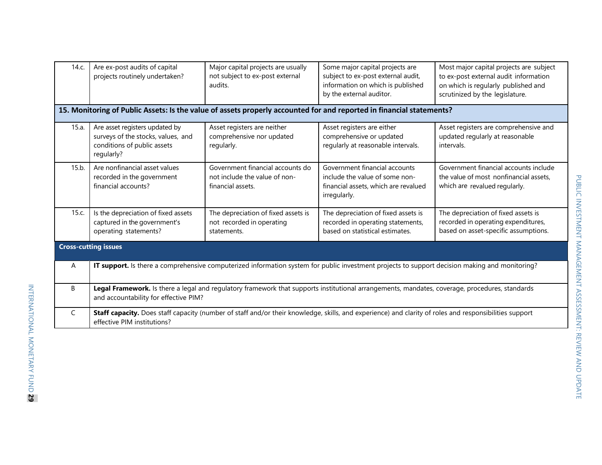| 14.c.                       | Are ex-post audits of capital<br>projects routinely undertaken?                                                                                                                         | Major capital projects are usually<br>not subject to ex-post external<br>audits.       | Some major capital projects are<br>subject to ex-post external audit,<br>information on which is published<br>by the external auditor.<br>15. Monitoring of Public Assets: Is the value of assets properly accounted for and reported in financial statements? | Most major capital projects are subject<br>to ex-post external audit information<br>on which is regularly published and<br>scrutinized by the legislature. |  |  |  |  |
|-----------------------------|-----------------------------------------------------------------------------------------------------------------------------------------------------------------------------------------|----------------------------------------------------------------------------------------|----------------------------------------------------------------------------------------------------------------------------------------------------------------------------------------------------------------------------------------------------------------|------------------------------------------------------------------------------------------------------------------------------------------------------------|--|--|--|--|
|                             |                                                                                                                                                                                         |                                                                                        |                                                                                                                                                                                                                                                                |                                                                                                                                                            |  |  |  |  |
| 15.a.                       | Are asset registers updated by<br>surveys of the stocks, values, and<br>conditions of public assets<br>regularly?                                                                       | Asset registers are neither<br>comprehensive nor updated<br>regularly.                 | Asset registers are either<br>comprehensive or updated<br>regularly at reasonable intervals.                                                                                                                                                                   | Asset registers are comprehensive and<br>updated regularly at reasonable<br>intervals.                                                                     |  |  |  |  |
| 15.b.                       | Are nonfinancial asset values<br>recorded in the government<br>financial accounts?                                                                                                      | Government financial accounts do<br>not include the value of non-<br>financial assets. | Government financial accounts<br>include the value of some non-<br>financial assets, which are revalued<br>irregularly.                                                                                                                                        | Government financial accounts include<br>the value of most nonfinancial assets,<br>which are revalued regularly.                                           |  |  |  |  |
| 15.c.                       | Is the depreciation of fixed assets<br>captured in the government's<br>operating statements?                                                                                            | The depreciation of fixed assets is<br>not recorded in operating<br>statements.        | The depreciation of fixed assets is<br>recorded in operating statements,<br>based on statistical estimates.                                                                                                                                                    | The depreciation of fixed assets is<br>recorded in operating expenditures,<br>based on asset-specific assumptions.                                         |  |  |  |  |
| <b>Cross-cutting issues</b> |                                                                                                                                                                                         |                                                                                        |                                                                                                                                                                                                                                                                |                                                                                                                                                            |  |  |  |  |
| A                           | IT support. Is there a comprehensive computerized information system for public investment projects to support decision making and monitoring?                                          |                                                                                        |                                                                                                                                                                                                                                                                |                                                                                                                                                            |  |  |  |  |
| B                           | Legal Framework. Is there a legal and regulatory framework that supports institutional arrangements, mandates, coverage, procedures, standards<br>and accountability for effective PIM? |                                                                                        |                                                                                                                                                                                                                                                                |                                                                                                                                                            |  |  |  |  |
| C                           | Staff capacity. Does staff capacity (number of staff and/or their knowledge, skills, and experience) and clarity of roles and responsibilities support<br>effective PIM institutions?   |                                                                                        |                                                                                                                                                                                                                                                                |                                                                                                                                                            |  |  |  |  |